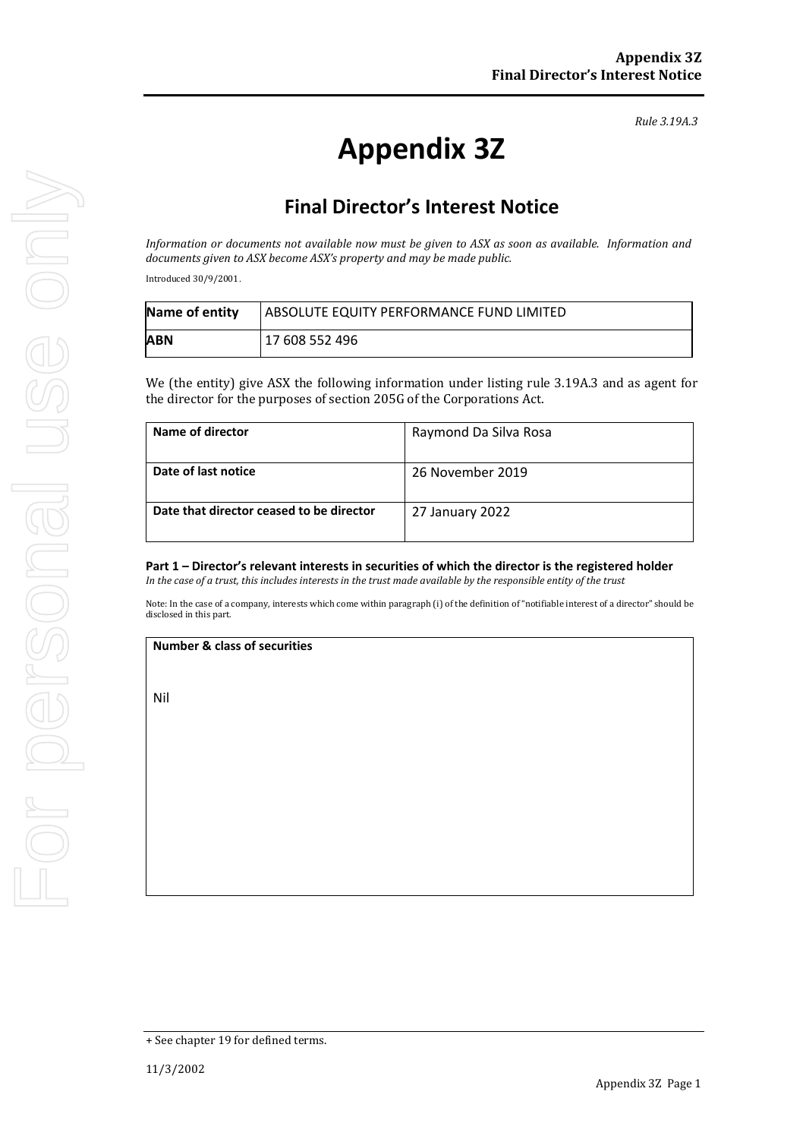*Rule 3.19A.3*

# **Appendix 3Z**

# **Final Director's Interest Notice**

*Information or documents not available now must be given to ASX as soon as available. Information and documents given to ASX become ASX's property and may be made public.*

Introduced 30/9/2001.

| Name of entity | ABSOLUTE EQUITY PERFORMANCE FUND LIMITED |
|----------------|------------------------------------------|
| ABN            | 17 608 552 496                           |

We (the entity) give ASX the following information under listing rule 3.19A.3 and as agent for the director for the purposes of section 205G of the Corporations Act.

| Name of director                         | Raymond Da Silva Rosa |
|------------------------------------------|-----------------------|
| Date of last notice                      | 26 November 2019      |
| Date that director ceased to be director | 27 January 2022       |

# **Part 1 – Director's relevant interests in securities of which the director is the registered holder**

*In the case of a trust, this includes interests in the trust made available by the responsible entity of the trust*

Note: In the case of a company, interests which come within paragraph (i) of the definition of "notifiable interest of a director" should be disclosed in this part.

#### **Number & class of securities**

Nil

<sup>+</sup> See chapter 19 for defined terms.